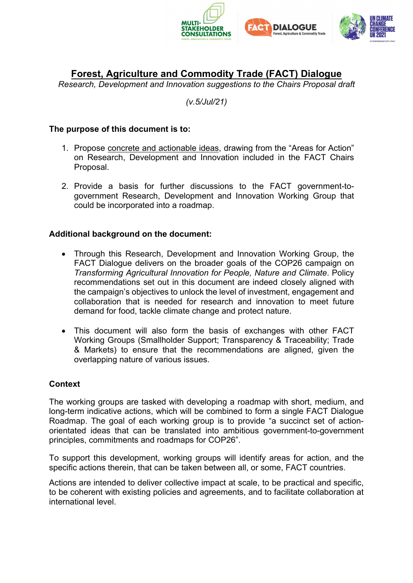



# **Forest, Agriculture and Commodity Trade (FACT) Dialogue**

*Research, Development and Innovation suggestions to the Chairs Proposal draft*

#### *(v.5/Jul/21)*

#### **The purpose of this document is to:**

- 1. Propose concrete and actionable ideas, drawing from the "Areas for Action" on Research, Development and Innovation included in the FACT Chairs Proposal.
- 2. Provide a basis for further discussions to the FACT government-togovernment Research, Development and Innovation Working Group that could be incorporated into a roadmap.

#### **Additional background on the document:**

- Through this Research, Development and Innovation Working Group, the FACT Dialogue delivers on the broader goals of the COP26 campaign on *Transforming Agricultural Innovation for People, Nature and Climate*. Policy recommendations set out in this document are indeed closely aligned with the campaign's objectives to unlock the level of investment, engagement and collaboration that is needed for research and innovation to meet future demand for food, tackle climate change and protect nature.
- This document will also form the basis of exchanges with other FACT Working Groups (Smallholder Support; Transparency & Traceability; Trade & Markets) to ensure that the recommendations are aligned, given the overlapping nature of various issues.

#### **Context**

The working groups are tasked with developing a roadmap with short, medium, and long-term indicative actions, which will be combined to form a single FACT Dialogue Roadmap. The goal of each working group is to provide "a succinct set of actionorientated ideas that can be translated into ambitious government-to-government principles, commitments and roadmaps for COP26".

To support this development, working groups will identify areas for action, and the specific actions therein, that can be taken between all, or some, FACT countries.

Actions are intended to deliver collective impact at scale, to be practical and specific, to be coherent with existing policies and agreements, and to facilitate collaboration at international level.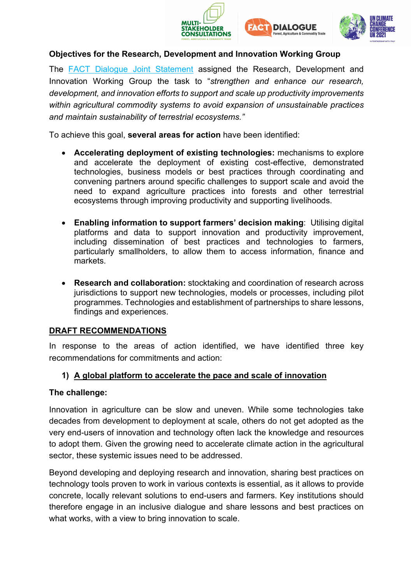





## **Objectives for the Research, Development and Innovation Working Group**

The **FACT** Dialogue Joint Statement assigned the Research, Development and Innovation Working Group the task to "*strengthen and enhance our research, development, and innovation efforts to support and scale up productivity improvements within agricultural commodity systems to avoid expansion of unsustainable practices and maintain sustainability of terrestrial ecosystems."* 

To achieve this goal, **several areas for action** have been identified:

- **Accelerating deployment of existing technologies:** mechanisms to explore and accelerate the deployment of existing cost-effective, demonstrated technologies, business models or best practices through coordinating and convening partners around specific challenges to support scale and avoid the need to expand agriculture practices into forests and other terrestrial ecosystems through improving productivity and supporting livelihoods.
- **Enabling information to support farmers' decision making**: Utilising digital platforms and data to support innovation and productivity improvement, including dissemination of best practices and technologies to farmers, particularly smallholders, to allow them to access information, finance and markets.
- **Research and collaboration:** stocktaking and coordination of research across jurisdictions to support new technologies, models or processes, including pilot programmes. Technologies and establishment of partnerships to share lessons, findings and experiences.

## **DRAFT RECOMMENDATIONS**

In response to the areas of action identified, we have identified three key recommendations for commitments and action:

## **1) A global platform to accelerate the pace and scale of innovation**

## **The challenge:**

Innovation in agriculture can be slow and uneven. While some technologies take decades from development to deployment at scale, others do not get adopted as the very end-users of innovation and technology often lack the knowledge and resources to adopt them. Given the growing need to accelerate climate action in the agricultural sector, these systemic issues need to be addressed.

Beyond developing and deploying research and innovation, sharing best practices on technology tools proven to work in various contexts is essential, as it allows to provide concrete, locally relevant solutions to end-users and farmers. Key institutions should therefore engage in an inclusive dialogue and share lessons and best practices on what works, with a view to bring innovation to scale.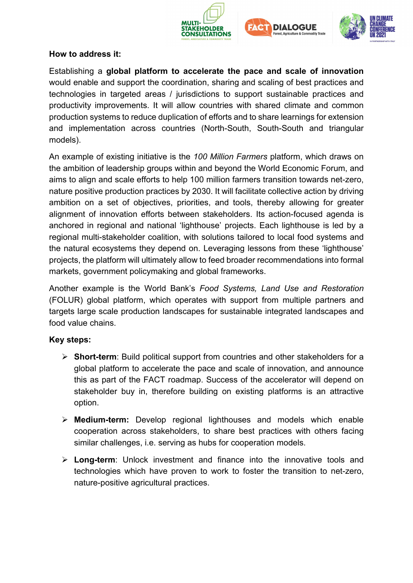





#### **How to address it:**

Establishing a **global platform to accelerate the pace and scale of innovation** would enable and support the coordination, sharing and scaling of best practices and technologies in targeted areas / jurisdictions to support sustainable practices and productivity improvements. It will allow countries with shared climate and common production systems to reduce duplication of efforts and to share learnings for extension and implementation across countries (North-South, South-South and triangular models).

An example of existing initiative is the *100 Million Farmers* platform, which draws on the ambition of leadership groups within and beyond the World Economic Forum, and aims to align and scale efforts to help 100 million farmers transition towards net-zero, nature positive production practices by 2030. It will facilitate collective action by driving ambition on a set of objectives, priorities, and tools, thereby allowing for greater alignment of innovation efforts between stakeholders. Its action-focused agenda is anchored in regional and national 'lighthouse' projects. Each lighthouse is led by a regional multi-stakeholder coalition, with solutions tailored to local food systems and the natural ecosystems they depend on. Leveraging lessons from these 'lighthouse' projects, the platform will ultimately allow to feed broader recommendations into formal markets, government policymaking and global frameworks.

Another example is the World Bank's *Food Systems, Land Use and Restoration* (FOLUR) global platform, which operates with support from multiple partners and targets large scale production landscapes for sustainable integrated landscapes and food value chains.

## **Key steps:**

- **Short-term**: Build political support from countries and other stakeholders for a global platform to accelerate the pace and scale of innovation, and announce this as part of the FACT roadmap. Success of the accelerator will depend on stakeholder buy in, therefore building on existing platforms is an attractive option.
- **Medium-term:** Develop regional lighthouses and models which enable cooperation across stakeholders, to share best practices with others facing similar challenges, i.e. serving as hubs for cooperation models.
- **Long-term**: Unlock investment and finance into the innovative tools and technologies which have proven to work to foster the transition to net-zero, nature-positive agricultural practices.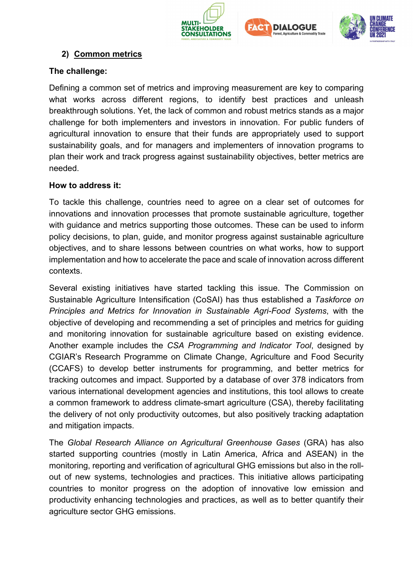





## **2) Common metrics**

#### **The challenge:**

Defining a common set of metrics and improving measurement are key to comparing what works across different regions, to identify best practices and unleash breakthrough solutions. Yet, the lack of common and robust metrics stands as a major challenge for both implementers and investors in innovation. For public funders of agricultural innovation to ensure that their funds are appropriately used to support sustainability goals, and for managers and implementers of innovation programs to plan their work and track progress against sustainability objectives, better metrics are needed.

#### **How to address it:**

To tackle this challenge, countries need to agree on a clear set of outcomes for innovations and innovation processes that promote sustainable agriculture, together with guidance and metrics supporting those outcomes. These can be used to inform policy decisions, to plan, guide, and monitor progress against sustainable agriculture objectives, and to share lessons between countries on what works, how to support implementation and how to accelerate the pace and scale of innovation across different contexts.

Several existing initiatives have started tackling this issue. The Commission on Sustainable Agriculture Intensification (CoSAI) has thus established a *Taskforce on Principles and Metrics for Innovation in Sustainable Agri-Food Systems*, with the objective of developing and recommending a set of principles and metrics for guiding and monitoring innovation for sustainable agriculture based on existing evidence. Another example includes the *CSA Programming and Indicator Tool*, designed by CGIAR's Research Programme on Climate Change, Agriculture and Food Security (CCAFS) to develop better instruments for programming, and better metrics for tracking outcomes and impact. Supported by a database of over 378 indicators from various international development agencies and institutions, this tool allows to create a common framework to address climate-smart agriculture (CSA), thereby facilitating the delivery of not only productivity outcomes, but also positively tracking adaptation and mitigation impacts.

The *Global Research Alliance on Agricultural Greenhouse Gases* (GRA) has also started supporting countries (mostly in Latin America, Africa and ASEAN) in the monitoring, reporting and verification of agricultural GHG emissions but also in the rollout of new systems, technologies and practices. This initiative allows participating countries to monitor progress on the adoption of innovative low emission and productivity enhancing technologies and practices, as well as to better quantify their agriculture sector GHG emissions.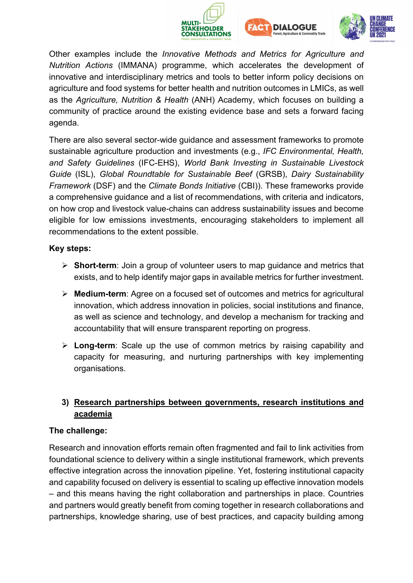





Other examples include the *Innovative Methods and Metrics for Agriculture and Nutrition Actions* (IMMANA) programme, which accelerates the development of innovative and interdisciplinary metrics and tools to better inform policy decisions on agriculture and food systems for better health and nutrition outcomes in LMICs, as well as the *Agriculture, Nutrition & Health* (ANH) Academy, which focuses on building a community of practice around the existing evidence base and sets a forward facing agenda.

There are also several sector-wide guidance and assessment frameworks to promote sustainable agriculture production and investments (e.g., *IFC Environmental, Health, and Safety Guidelines* (IFC-EHS), *World Bank Investing in Sustainable Livestock Guide* (ISL), *Global Roundtable for Sustainable Beef* (GRSB), *Dairy Sustainability Framework* (DSF) and the *Climate Bonds Initiative* (CBI)). These frameworks provide a comprehensive guidance and a list of recommendations, with criteria and indicators, on how crop and livestock value-chains can address sustainability issues and become eligible for low emissions investments, encouraging stakeholders to implement all recommendations to the extent possible.

#### **Key steps:**

- **Short-term**: Join a group of volunteer users to map guidance and metrics that exists, and to help identify major gaps in available metrics for further investment.
- **Medium-term**: Agree on a focused set of outcomes and metrics for agricultural innovation, which address innovation in policies, social institutions and finance, as well as science and technology, and develop a mechanism for tracking and accountability that will ensure transparent reporting on progress.
- **Long-term**: Scale up the use of common metrics by raising capability and capacity for measuring, and nurturing partnerships with key implementing organisations.

## **3) Research partnerships between governments, research institutions and academia**

## **The challenge:**

Research and innovation efforts remain often fragmented and fail to link activities from foundational science to delivery within a single institutional framework, which prevents effective integration across the innovation pipeline. Yet, fostering institutional capacity and capability focused on delivery is essential to scaling up effective innovation models – and this means having the right collaboration and partnerships in place. Countries and partners would greatly benefit from coming together in research collaborations and partnerships, knowledge sharing, use of best practices, and capacity building among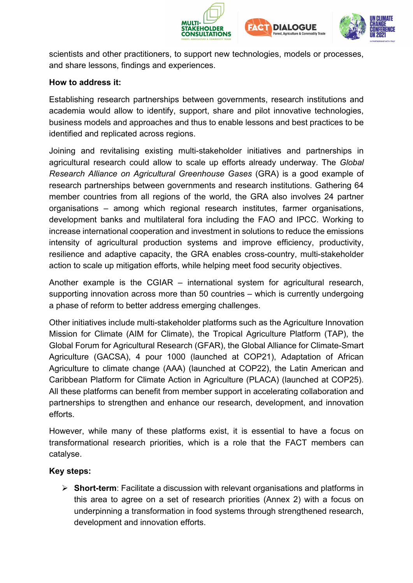





scientists and other practitioners, to support new technologies, models or processes, and share lessons, findings and experiences.

#### **How to address it:**

Establishing research partnerships between governments, research institutions and academia would allow to identify, support, share and pilot innovative technologies, business models and approaches and thus to enable lessons and best practices to be identified and replicated across regions.

Joining and revitalising existing multi-stakeholder initiatives and partnerships in agricultural research could allow to scale up efforts already underway. The *Global Research Alliance on Agricultural Greenhouse Gases* (GRA) is a good example of research partnerships between governments and research institutions. Gathering 64 member countries from all regions of the world, the GRA also involves 24 partner organisations – among which regional research institutes, farmer organisations, development banks and multilateral fora including the FAO and IPCC. Working to increase international cooperation and investment in solutions to reduce the emissions intensity of agricultural production systems and improve efficiency, productivity, resilience and adaptive capacity, the GRA enables cross-country, multi-stakeholder action to scale up mitigation efforts, while helping meet food security objectives.

Another example is the CGIAR – international system for agricultural research, supporting innovation across more than 50 countries – which is currently undergoing a phase of reform to better address emerging challenges.

Other initiatives include multi-stakeholder platforms such as the Agriculture Innovation Mission for Climate (AIM for Climate), the Tropical Agriculture Platform (TAP), the Global Forum for Agricultural Research (GFAR), the Global Alliance for Climate-Smart Agriculture (GACSA), 4 pour 1000 (launched at COP21), Adaptation of African Agriculture to climate change (AAA) (launched at COP22), the Latin American and Caribbean Platform for Climate Action in Agriculture (PLACA) (launched at COP25). All these platforms can benefit from member support in accelerating collaboration and partnerships to strengthen and enhance our research, development, and innovation efforts.

However, while many of these platforms exist, it is essential to have a focus on transformational research priorities, which is a role that the FACT members can catalyse.

## **Key steps:**

 **Short-term**: Facilitate a discussion with relevant organisations and platforms in this area to agree on a set of research priorities (Annex 2) with a focus on underpinning a transformation in food systems through strengthened research, development and innovation efforts.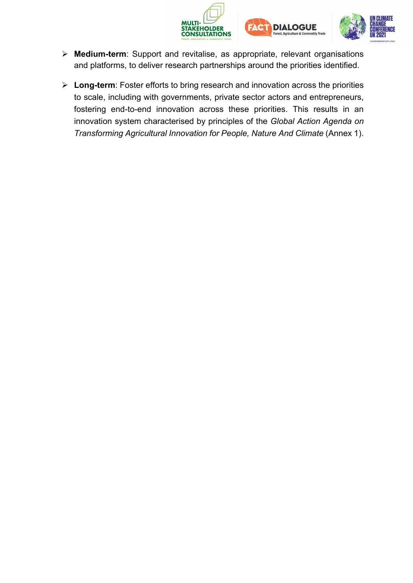





- **Medium-term**: Support and revitalise, as appropriate, relevant organisations and platforms, to deliver research partnerships around the priorities identified.
- **Long-term**: Foster efforts to bring research and innovation across the priorities to scale, including with governments, private sector actors and entrepreneurs, fostering end-to-end innovation across these priorities. This results in an innovation system characterised by principles of the *Global Action Agenda on Transforming Agricultural Innovation for People, Nature And Climate* (Annex 1).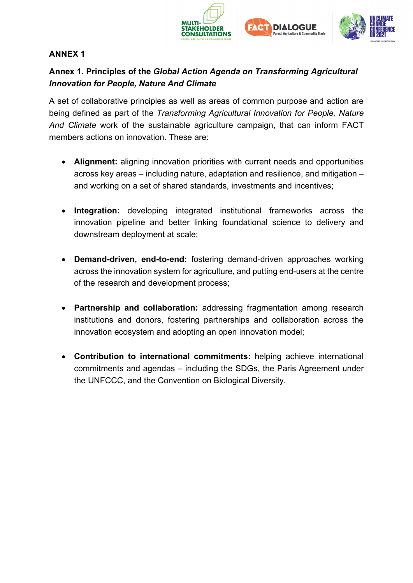





## **ANNEX 1**

## **Annex 1. Principles of the** *Global Action Agenda on Transforming Agricultural Innovation for People, Nature And Climate*

A set of collaborative principles as well as areas of common purpose and action are being defined as part of the *Transforming Agricultural Innovation for People, Nature And Climate* work of the sustainable agriculture campaign, that can inform FACT members actions on innovation. These are:

- **Alignment:** aligning innovation priorities with current needs and opportunities across key areas – including nature, adaptation and resilience, and mitigation – and working on a set of shared standards, investments and incentives;
- **Integration:** developing integrated institutional frameworks across the innovation pipeline and better linking foundational science to delivery and downstream deployment at scale;
- **Demand-driven, end-to-end:** fostering demand-driven approaches working across the innovation system for agriculture, and putting end-users at the centre of the research and development process;
- **Partnership and collaboration:** addressing fragmentation among research institutions and donors, fostering partnerships and collaboration across the innovation ecosystem and adopting an open innovation model;
- **Contribution to international commitments:** helping achieve international commitments and agendas – including the SDGs, the Paris Agreement under the UNFCCC, and the Convention on Biological Diversity.